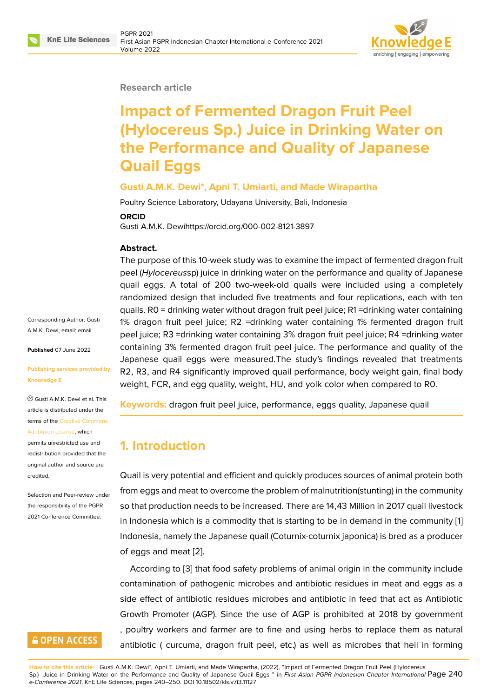

#### **Research article**

# **Impact of Fermented Dragon Fruit Peel (Hylocereus Sp.) Juice in Drinking Water on the Performance and Quality of Japanese Quail Eggs**

#### **Gusti A.M.K. Dewi\*, Apni T. Umiarti, and Made Wirapartha**

Poultry Science Laboratory, Udayana University, Bali, Indonesia

#### **ORCID**

Gusti A.M.K. Dewihttps://orcid.org/000-002-8121-3897

#### **Abstract.**

The purpose of this 10-week study was to examine the impact of fermented dragon fruit peel (*Hylocereus*sp) juice in drinking water on the performance and quality of Japanese quail eggs. A total of 200 two-week-old quails were included using a completely randomized design that included five treatments and four replications, each with ten quails. R0 = drinking water without dragon fruit peel juice; R1 =drinking water containing 1% dragon fruit peel juice; R2 =drinking water containing 1% fermented dragon fruit peel juice; R3 =drinking water containing 3% dragon fruit peel juice; R4 =drinking water containing 3% fermented dragon fruit peel juice. The performance and quality of the Japanese quail eggs were measured.The study's findings revealed that treatments R2, R3, and R4 significantly improved quail performance, body weight gain, final body weight, FCR, and egg quality, weight, HU, and yolk color when compared to R0.

**Keywords:** dragon fruit peel juice, performance, eggs quality, Japanese quail

### **1. Introduction**

Quail is very potential and efficient and quickly produces sources of animal protein both from eggs and meat to overcome the problem of malnutrition(stunting) in the community so that production needs to be increased. There are 14,43 Million in 2017 quail livestock in Indonesia which is a commodity that is starting to be in demand in the community [1] Indonesia, namely the Japanese quail (Coturnix-coturnix japonica) is bred as a producer of eggs and meat [2].

According to [3] that food safety problems of animal origin in the community inclu[de](#page-7-0) contamination of pathogenic microbes and antibiotic residues in meat and eggs as a side effect of anti[bio](#page-7-1)tic residues microbes and antibiotic in feed that act as Antibiotic Growth Promot[er](#page-7-2) (AGP). Since the use of AGP is prohibited at 2018 by government , poultry workers and farmer are to fine and using herbs to replace them as natural antibiotic ( curcuma, dragon fruit peel, etc.) as well as microbes that heil in forming

**How to cite this article**: Gusti A.M.K. Dewi\*, Apni T. Umiarti, and Made Wirapartha, (2022), "Impact of Fermented Dragon Fruit Peel (Hylocereus Sp.) Juice in Drinking Water on the Performance and Quality of Japanese Quail Eggs " in *First Asian PGPR Indonesian Chapter International* Page 240 *e-Conference 2021*, KnE Life Sciences, pages 240–250. DOI 10.18502/kls.v7i3.11127

Corresponding Author: Gusti A.M.K. Dewi; email: email

**Published** 07 June 2022

#### **Publishing services [provi](mailto:email)ded by Knowledge E**

Gusti A.M.K. Dewi et al. This article is distributed under the terms of the Creative Commons Attribution License, which permits unrestricted use and redistribution provided that the

original auth[or and source are](https://creativecommons.org/licenses/by/4.0/) [credited.](https://creativecommons.org/licenses/by/4.0/) Selection and Peer-review under

the responsibility of the PGPR 2021 Conference Committee.

# **GOPEN ACCESS**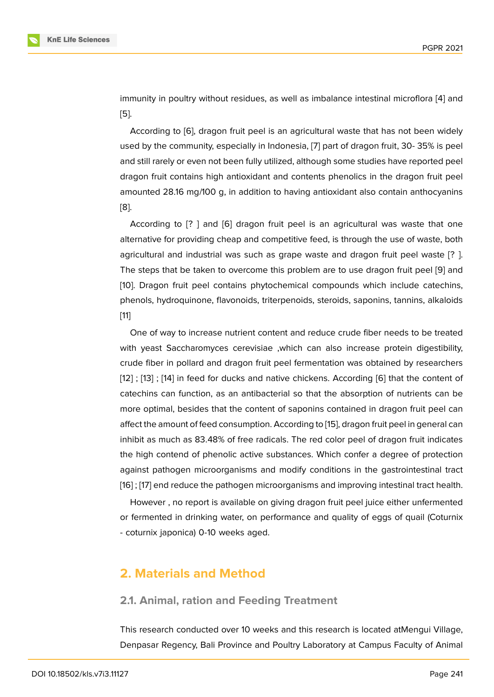immunity in poultry without residues, as well as imbalance intestinal microflora [4] and [5].

According to [6], dragon fruit peel is an agricultural waste that has not been widely used by the community, especially in Indonesia, [7] part of dragon fruit, 30- 35% [is](#page-7-3) peel [an](#page-7-4)d still rarely or even not been fully utilized, although some studies have reported peel dragon fruit con[ta](#page-8-0)ins high antioxidant and contents phenolics in the dragon fruit peel amounted 28.16 mg/100 g, in addition to having [an](#page-8-1)tioxidant also contain anthocyanins [8].

According to [? ] and [6] dragon fruit peel is an agricultural was waste that one alternative for providing cheap and competitive feed, is through the use of waste, both [ag](#page-8-2)ricultural and industrial was such as grape waste and dragon fruit peel waste [? ]. The steps that be taken t[o o](#page-8-0)vercome this problem are to use dragon fruit peel [9] and [10]. Dragon fruit peel contains phytochemical compounds which include catechins, phenols, hydroquinone, flavonoids, triterpenoids, steroids, saponins, tannins, alkaloids [11]

[O](#page-8-3)ne of way to increase nutrient content and reduce crude fiber needs to be treated with yeast Saccharomyces cerevisiae ,which can also increase protein digestibility, [cru](#page-8-4)de fiber in pollard and dragon fruit peel fermentation was obtained by researchers [12] ; [13] ; [14] in feed for ducks and native chickens. According [6] that the content of catechins can function, as an antibacterial so that the absorption of nutrients can be more optimal, besides that the content of saponins contained in dragon fruit peel can [affe](#page-8-5)ct [th](#page-8-6)e a[mo](#page-8-7)unt of feed consumption. According to [15], dragon fr[ui](#page-8-0)t peel in general can inhibit as much as 83.48% of free radicals. The red color peel of dragon fruit indicates the high contend of phenolic active substances. Which confer a degree of protection against pathogen microorganisms and modify con[diti](#page-8-8)ons in the gastrointestinal tract [16] ; [17] end reduce the pathogen microorganisms and improving intestinal tract health.

However , no report is available on giving dragon fruit peel juice either unfermented or fermented in drinking water, on performance and quality of eggs of quail (Coturnix [- co](#page-9-0)t[urn](#page-9-1)ix japonica) 0-10 weeks aged.

# **2. Materials and Method**

#### **2.1. Animal, ration and Feeding Treatment**

This research conducted over 10 weeks and this research is located atMengui Village, Denpasar Regency, Bali Province and Poultry Laboratory at Campus Faculty of Animal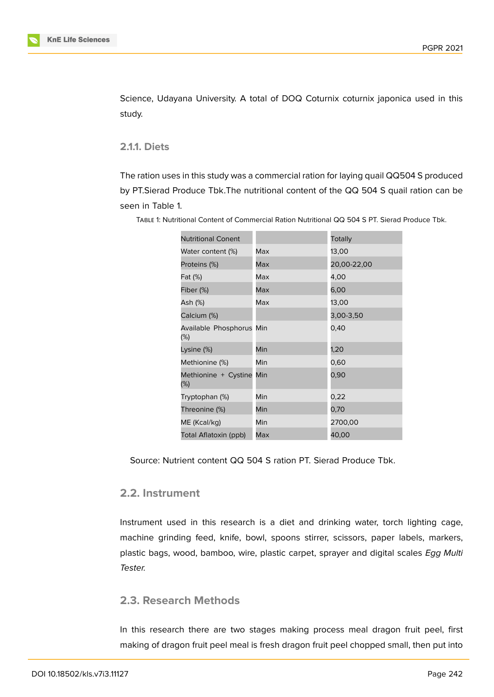Science, Udayana University. A total of DOQ Coturnix coturnix japonica used in this study.

**2.1.1. Diets**

The ration uses in this study was a commercial ration for laying quail QQ504 S produced by PT.Sierad Produce Tbk.The nutritional content of the QQ 504 S quail ration can be seen in Table 1.

| <b>Nutritional Conent</b>          |     | Totally     |
|------------------------------------|-----|-------------|
| Water content (%)                  | Max | 13,00       |
| Proteins (%)                       | Max | 20,00-22,00 |
| Fat (%)                            | Max | 4,00        |
| Fiber (%)                          | Max | 6,00        |
| Ash (%)                            | Max | 13,00       |
| Calcium (%)                        |     | 3,00-3,50   |
| Available Phosphorus Min<br>$(\%)$ |     | 0,40        |
| Lysine (%)                         | Min | 1,20        |
| Methionine (%)                     | Min | 0,60        |
| Methionine + Cystine Min<br>$(\%)$ |     | 0,90        |
| Tryptophan (%)                     | Min | 0,22        |
| Threonine (%)                      | Min | 0,70        |
| ME (Kcal/kg)                       | Min | 2700,00     |
| Total Aflatoxin (ppb)              | Max | 40,00       |

Table 1: Nutritional Content of Commercial Ration Nutritional QQ 504 S PT. Sierad Produce Tbk.

Source: Nutrient content QQ 504 S ration PT. Sierad Produce Tbk.

### **2.2. Instrument**

Instrument used in this research is a diet and drinking water, torch lighting cage, machine grinding feed, knife, bowl, spoons stirrer, scissors, paper labels, markers, plastic bags, wood, bamboo, wire, plastic carpet, sprayer and digital scales *Egg Multi Tester.*

### **2.3. Research Methods**

In this research there are two stages making process meal dragon fruit peel, first making of dragon fruit peel meal is fresh dragon fruit peel chopped small, then put into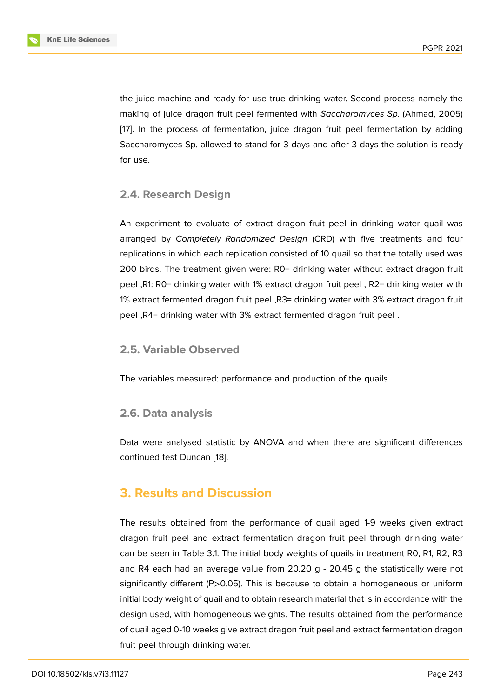the juice machine and ready for use true drinking water. Second process namely the making of juice dragon fruit peel fermented with *Saccharomyces Sp.* (Ahmad, 2005) [17]. In the process of fermentation, juice dragon fruit peel fermentation by adding Saccharomyces Sp. allowed to stand for 3 days and after 3 days the solution is ready for use.

### **2.4. Research Design**

An experiment to evaluate of extract dragon fruit peel in drinking water quail was arranged by *Completely Randomized Design* (CRD) with five treatments and four replications in which each replication consisted of 10 quail so that the totally used was 200 birds. The treatment given were: R0= drinking water without extract dragon fruit peel ,R1: R0= drinking water with 1% extract dragon fruit peel , R2= drinking water with 1% extract fermented dragon fruit peel ,R3= drinking water with 3% extract dragon fruit peel ,R4= drinking water with 3% extract fermented dragon fruit peel .

#### **2.5. Variable Observed**

The variables measured: performance and production of the quails

### **2.6. Data analysis**

Data were analysed statistic by ANOVA and when there are significant differences continued test Duncan [18].

# **3. Results and [Dis](#page-9-2)cussion**

The results obtained from the performance of quail aged 1-9 weeks given extract dragon fruit peel and extract fermentation dragon fruit peel through drinking water can be seen in Table 3.1. The initial body weights of quails in treatment R0, R1, R2, R3 and R4 each had an average value from 20.20 g - 20.45 g the statistically were not significantly different (P>0.05). This is because to obtain a homogeneous or uniform initial body weight of quail and to obtain research material that is in accordance with the design used, with homogeneous weights. The results obtained from the performance of quail aged 0-10 weeks give extract dragon fruit peel and extract fermentation dragon fruit peel through drinking water.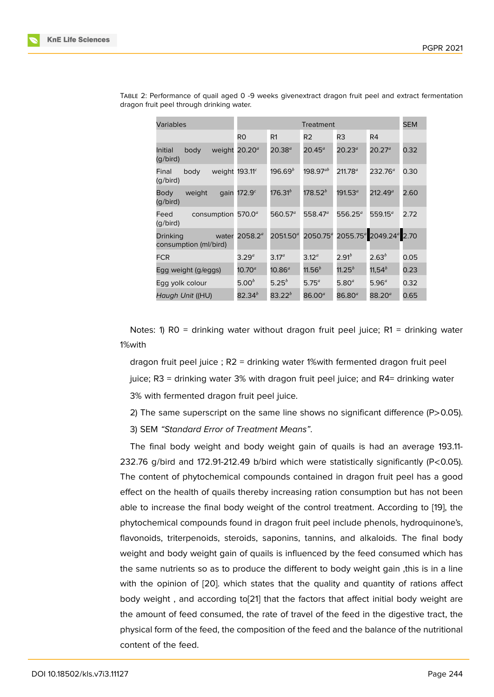| Variables                                  | Treatment                  |                      |                      | <b>SEM</b>          |                                                |      |
|--------------------------------------------|----------------------------|----------------------|----------------------|---------------------|------------------------------------------------|------|
|                                            | R0                         | R1                   | R <sub>2</sub>       | R3                  | R4                                             |      |
| Initial<br>weight<br>body<br>(g/bird)      | $20.20^{a}$                | $20.38^{a}$          | $20.45^a$            | $20.23^{\circ}$     | $20.27^a$                                      | 0.32 |
| Final<br>body<br>(g/bird)                  | weight 193.11 <sup>c</sup> | 196.69 $^b$          | 198.97 $^{ab}$       | 211.78 <sup>a</sup> | 232.76 <sup>a</sup>                            | 0.30 |
| weight<br>gain<br>Body<br>(g/bird)         | 172.9 $^c$                 | $176.31^{b}$         | 178.52 $^b$          | 191.53 <sup>a</sup> | $212.49^a$                                     | 2.60 |
| Feed<br>consumption<br>(g/bird)            | 570.0 $a$                  | 560.57 $a$           | 558.47 $a$           | $556.25^a$          | 559.15 <sup>a</sup>                            | 2.72 |
| Drinking<br>water<br>consumption (ml/bird) | 2058.2 <sup>a</sup>        | 2051.50 <sup>a</sup> | 2050.75 <sup>a</sup> |                     | 2055.75 <sup>a</sup> 2049.24 <sup>a</sup> 2.70 |      |
| <b>FCR</b>                                 | $3.29^a$                   | 3.17 <sup>a</sup>    | 3.12 <sup>a</sup>    | $2.91^b$            | $2.63^{b}$                                     | 0.05 |
| Egg weight (g/eggs)                        | $10.70^a$                  | $10.86^a$            | $11.56^b$            | 11.25 $^b$          | 11,54 $^{b}$                                   | 0.23 |
| Egg yolk colour                            | $5.00^{b}$                 | $5.25^{b}$           | $5.75^{a}$           | 5.80 <sup>a</sup>   | 5.96 <sup>a</sup>                              | 0.32 |
| Haugh Unit ((HU)                           | 82.34 $^b$                 | $83.22^{b}$          | $86.00^{a}$          | $86.80^{a}$         | $88.20^{a}$                                    | 0.65 |

Table 2: Performance of quail aged 0 -9 weeks givenextract dragon fruit peel and extract fermentation dragon fruit peel through drinking water.

Notes: 1) RO = drinking water without dragon fruit peel juice; R1 = drinking water 1%with

dragon fruit peel juice ; R2 = drinking water 1%with fermented dragon fruit peel juice; R3 = drinking water 3% with dragon fruit peel juice; and R4= drinking water 3% with fermented dragon fruit peel juice.

2) The same superscript on the same line shows no significant difference (P>0.05). 3) SEM *"Standard Error of Treatment Means"*.

The final body weight and body weight gain of quails is had an average 193.11- 232.76 g/bird and 172.91-212.49 b/bird which were statistically significantly (P<0.05). The content of phytochemical compounds contained in dragon fruit peel has a good effect on the health of quails thereby increasing ration consumption but has not been able to increase the final body weight of the control treatment. According to [19], the phytochemical compounds found in dragon fruit peel include phenols, hydroquinone's, flavonoids, triterpenoids, steroids, saponins, tannins, and alkaloids. The final body weight and body weight gain of quails is influenced by the feed consumed w[hich](#page-9-3) has the same nutrients so as to produce the different to body weight gain ,this is in a line with the opinion of [20]. which states that the quality and quantity of rations affect body weight , and according to[21] that the factors that affect initial body weight are the amount of feed consumed, the rate of travel of the feed in the digestive tract, the physical form of the f[eed](#page-9-4), the composition of the feed and the balance of the nutritional content of the feed.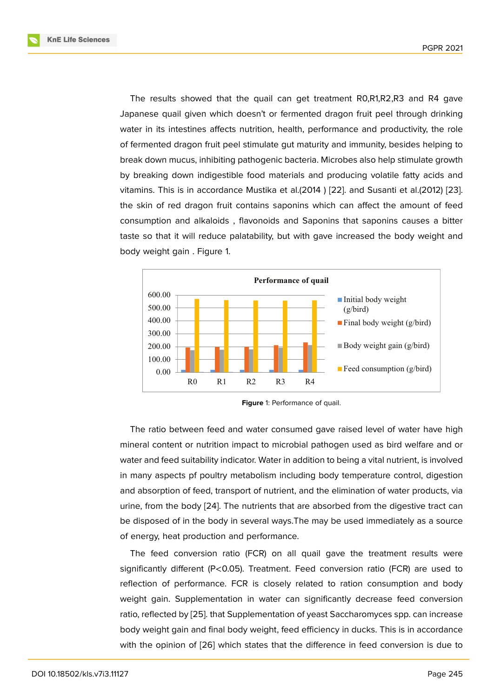The results showed that the quail can get treatment R0,R1,R2,R3 and R4 gave Japanese quail given which doesn't or fermented dragon fruit peel through drinking water in its intestines affects nutrition, health, performance and productivity, the role of fermented dragon fruit peel stimulate gut maturity and immunity, besides helping to break down mucus, inhibiting pathogenic bacteria. Microbes also help stimulate growth by breaking down indigestible food materials and producing volatile fatty acids and vitamins. This is in accordance Mustika et al.(2014 ) [22]. and Susanti et al.(2012) [23]. the skin of red dragon fruit contains saponins which can affect the amount of feed consumption and alkaloids , flavonoids and Saponins that saponins causes a bitter taste so that it will reduce palatability, but with gav[e in](#page-9-5)creased the body weight [and](#page-9-6) body weight gain . Figure 1.



**Figure** 1: Performance of quail.

The ratio between feed and water consumed gave raised level of water have high mineral content or nutrition impact to microbial pathogen used as bird welfare and or water and feed suitability indicator. Water in addition to being a vital nutrient, is involved in many aspects pf poultry metabolism including body temperature control, digestion and absorption of feed, transport of nutrient, and the elimination of water products, via urine, from the body [24]. The nutrients that are absorbed from the digestive tract can be disposed of in the body in several ways.The may be used immediately as a source of energy, heat production and performance.

The feed convers[ion](#page-9-7) ratio (FCR) on all quail gave the treatment results were significantly different (P<0.05). Treatment. Feed conversion ratio (FCR) are used to reflection of performance. FCR is closely related to ration consumption and body weight gain. Supplementation in water can significantly decrease feed conversion ratio, reflected by [25]. that Supplementation of yeast Saccharomyces spp. can increase body weight gain and final body weight, feed efficiency in ducks. This is in accordance with the opinion of [26] which states that the difference in feed conversion is due to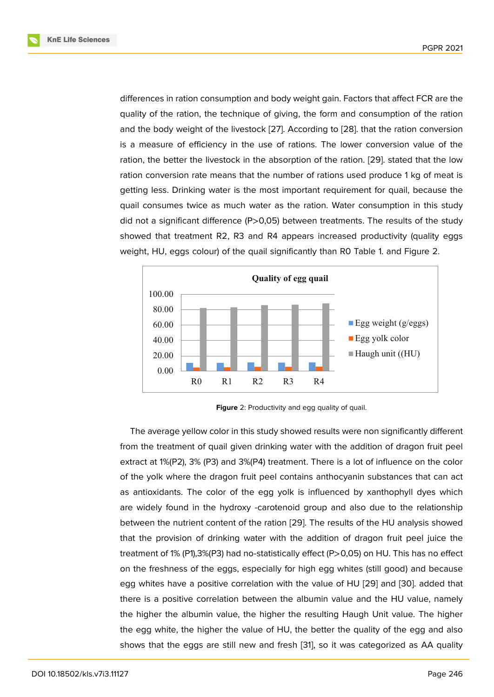differences in ration consumption and body weight gain. Factors that affect FCR are the quality of the ration, the technique of giving, the form and consumption of the ration and the body weight of the livestock [27]. According to [28]. that the ration conversion is a measure of efficiency in the use of rations. The lower conversion value of the ration, the better the livestock in the absorption of the ration. [29]. stated that the low ration conversion rate means that the [nu](#page-9-8)mber of ration[s us](#page-10-0)ed produce 1 kg of meat is getting less. Drinking water is the most important requirement for quail, because the quail consumes twice as much water as the ration. Water co[nsu](#page-10-1)mption in this study did not a significant difference (P>0,05) between treatments. The results of the study showed that treatment R2, R3 and R4 appears increased productivity (quality eggs weight, HU, eggs colour) of the quail significantly than R0 Table 1. and Figure 2.



**Figure** 2: Productivity and egg quality of quail.

The average yellow color in this study showed results were non significantly different from the treatment of quail given drinking water with the addition of dragon fruit peel extract at 1%(P2), 3% (P3) and 3%(P4) treatment. There is a lot of influence on the color of the yolk where the dragon fruit peel contains anthocyanin substances that can act as antioxidants. The color of the egg yolk is influenced by xanthophyll dyes which are widely found in the hydroxy -carotenoid group and also due to the relationship between the nutrient content of the ration [29]. The results of the HU analysis showed that the provision of drinking water with the addition of dragon fruit peel juice the treatment of 1% (P1),3%(P3) had no-statistically effect (P>0,05) on HU. This has no effect on the freshness of the eggs, especially f[or h](#page-10-1)igh egg whites (still good) and because egg whites have a positive correlation with the value of HU [29] and [30]. added that there is a positive correlation between the albumin value and the HU value, namely the higher the albumin value, the higher the resulting Haugh Unit value. The higher the egg white, the higher the value of HU, the better the qu[ality](#page-10-1) of t[he e](#page-10-2)gg and also shows that the eggs are still new and fresh [31], so it was categorized as AA quality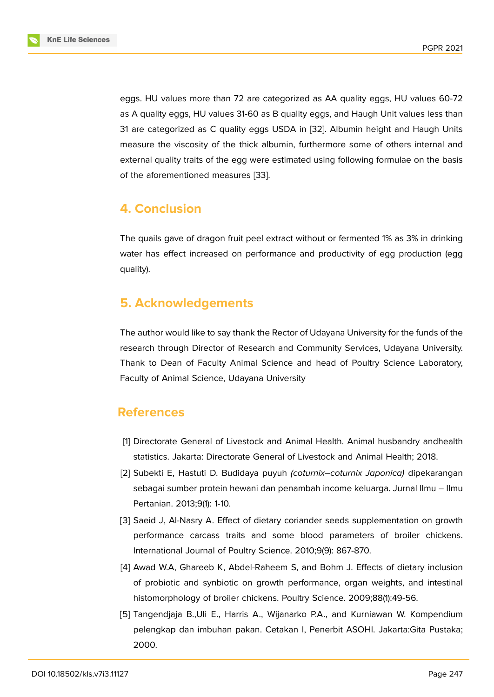eggs. HU values more than 72 are categorized as AA quality eggs, HU values 60-72 as A quality eggs, HU values 31-60 as B quality eggs, and Haugh Unit values less than 31 are categorized as C quality eggs USDA in [32]. Albumin height and Haugh Units measure the viscosity of the thick albumin, furthermore some of others internal and external quality traits of the egg were estimated using following formulae on the basis of the aforementioned measures [33].

# **4. Conclusion**

The quails gave of dragon fruit peel extract without or fermented 1% as 3% in drinking water has effect increased on performance and productivity of egg production (egg quality).

# **5. Acknowledgements**

The author would like to say thank the Rector of Udayana University for the funds of the research through Director of Research and Community Services, Udayana University. Thank to Dean of Faculty Animal Science and head of Poultry Science Laboratory, Faculty of Animal Science, Udayana University

# **References**

- [1] Directorate General of Livestock and Animal Health. Animal husbandry andhealth statistics. Jakarta: Directorate General of Livestock and Animal Health; 2018.
- <span id="page-7-0"></span>[2] Subekti E, Hastuti D. Budidaya puyuh *(coturnix–coturnix Japonica)* dipekarangan sebagai sumber protein hewani dan penambah income keluarga. Jurnal Ilmu – Ilmu Pertanian. 2013;9(1): 1-10.
- <span id="page-7-1"></span>[3] Saeid J, Al-Nasry A. Effect of dietary coriander seeds supplementation on growth performance carcass traits and some blood parameters of broiler chickens. International Journal of Poultry Science. 2010;9(9): 867-870.
- <span id="page-7-2"></span>[4] Awad W.A, Ghareeb K, Abdel-Raheem S, and Bohm J. Effects of dietary inclusion of probiotic and synbiotic on growth performance, organ weights, and intestinal histomorphology of broiler chickens. Poultry Science. 2009;88(1):49-56.
- <span id="page-7-4"></span><span id="page-7-3"></span>[5] Tangendjaja B.,Uli E., Harris A., Wijanarko P.A., and Kurniawan W. Kompendium pelengkap dan imbuhan pakan. Cetakan I, Penerbit ASOHI. Jakarta:Gita Pustaka; 2000.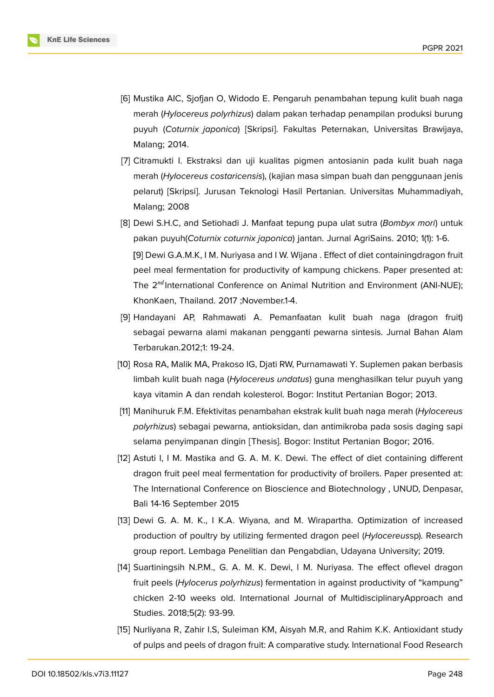

- <span id="page-8-0"></span>[6] Mustika AIC, Sjofjan O, Widodo E. Pengaruh penambahan tepung kulit buah naga merah (*Hylocereus polyrhizus*) dalam pakan terhadap penampilan produksi burung puyuh (*Coturnix japonica*) [Skripsi]. Fakultas Peternakan, Universitas Brawijaya, Malang; 2014.
- <span id="page-8-1"></span>[7] Citramukti I. Ekstraksi dan uji kualitas pigmen antosianin pada kulit buah naga merah (*Hylocereus costaricensis*), (kajian masa simpan buah dan penggunaan jenis pelarut) [Skripsi]. Jurusan Teknologi Hasil Pertanian. Universitas Muhammadiyah, Malang; 2008
- <span id="page-8-2"></span>[8] Dewi S.H.C, and Setiohadi J. Manfaat tepung pupa ulat sutra (*Bombyx mori*) untuk pakan puyuh(*Coturnix coturnix japonica*) jantan. Jurnal AgriSains. 2010; 1(1): 1-6. **[**9] Dewi G.A.M.K, I M. Nuriyasa and I W. Wijana . Effect of diet containingdragon fruit peel meal fermentation for productivity of kampung chickens. Paper presented at: The  $2^{nd}$ International Conference on Animal Nutrition and Environment (ANI-NUE); KhonKaen, Thailand. 2017 ;November.1-4.
- [9] Handayani AP, Rahmawati A. Pemanfaatan kulit buah naga (dragon fruit) sebagai pewarna alami makanan pengganti pewarna sintesis. Jurnal Bahan Alam Terbarukan.2012;1: 19-24.
- <span id="page-8-3"></span>[10] Rosa RA, Malik MA, Prakoso IG, Djati RW, Purnamawati Y. Suplemen pakan berbasis limbah kulit buah naga (*Hylocereus undatus*) guna menghasilkan telur puyuh yang kaya vitamin A dan rendah kolesterol. Bogor: Institut Pertanian Bogor; 2013.
- <span id="page-8-4"></span>[11] Manihuruk F.M. Efektivitas penambahan ekstrak kulit buah naga merah (*Hylocereus polyrhizus*) sebagai pewarna, antioksidan, dan antimikroba pada sosis daging sapi selama penyimpanan dingin [Thesis]. Bogor: Institut Pertanian Bogor; 2016.
- <span id="page-8-5"></span>[12] Astuti I, I M. Mastika and G. A. M. K. Dewi. The effect of diet containing different dragon fruit peel meal fermentation for productivity of broilers. Paper presented at: The International Conference on Bioscience and Biotechnology , UNUD, Denpasar, Bali 14-16 September 2015
- <span id="page-8-6"></span>[13] Dewi G. A. M. K., I K.A. Wiyana, and M. Wirapartha. Optimization of increased production of poultry by utilizing fermented dragon peel (*Hylocereus*sp). Research group report. Lembaga Penelitian dan Pengabdian, Udayana University; 2019.
- <span id="page-8-7"></span>[14] Suartiningsih N.P.M., G. A. M. K. Dewi, I M. Nuriyasa. The effect oflevel dragon fruit peels (*Hylocerus polyrhizus*) fermentation in against productivity of "kampung" chicken 2-10 weeks old. International Journal of MultidisciplinaryApproach and Studies. 2018;5(2): 93-99.
- <span id="page-8-8"></span>[15] Nurliyana R, Zahir I.S, Suleiman KM, Aisyah M.R, and Rahim K.K. Antioxidant study of pulps and peels of dragon fruit: A comparative study. International Food Research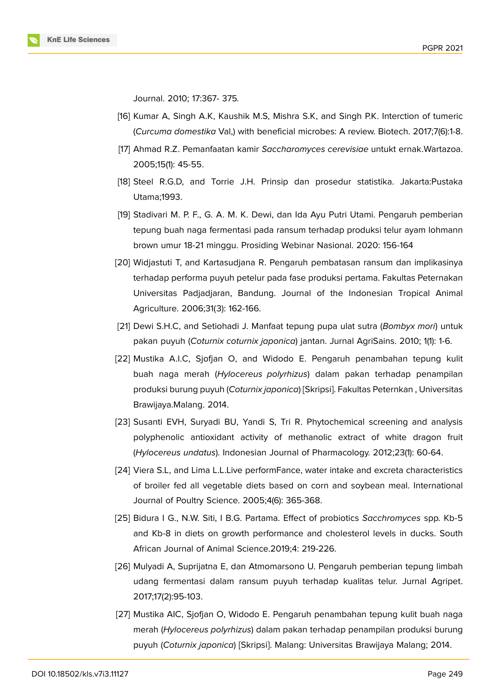Journal. 2010; 17:367- 375*.*

- <span id="page-9-0"></span>[16] Kumar A, Singh A.K, Kaushik M.S, Mishra S.K, and Singh P.K. Interction of tumeric (*Curcuma domestika* Val,) with beneficial microbes: A review. Biotech. 2017;7(6):1-8.
- <span id="page-9-1"></span>[17] Ahmad R.Z. Pemanfaatan kamir *Saccharomyces cerevisiae* untukt ernak.Wartazoa. 2005;15(1): 45-55.
- <span id="page-9-2"></span>[18] Steel R.G.D, and Torrie J.H. Prinsip dan prosedur statistika. Jakarta:Pustaka Utama;1993.
- <span id="page-9-3"></span>[19] Stadivari M. P. F., G. A. M. K. Dewi, dan Ida Ayu Putri Utami. Pengaruh pemberian tepung buah naga fermentasi pada ransum terhadap produksi telur ayam lohmann brown umur 18-21 minggu. Prosiding Webinar Nasional. 2020: 156-164
- <span id="page-9-4"></span>[20] Widjastuti T, and Kartasudjana R. Pengaruh pembatasan ransum dan implikasinya terhadap performa puyuh petelur pada fase produksi pertama. Fakultas Peternakan Universitas Padjadjaran, Bandung. Journal of the Indonesian Tropical Animal Agriculture. 2006;31(3): 162-166.
- [21] Dewi S.H.C, and Setiohadi J. Manfaat tepung pupa ulat sutra (*Bombyx mori*) untuk pakan puyuh (*Coturnix coturnix japonica*) jantan. Jurnal AgriSains. 2010; 1(1): 1-6.
- <span id="page-9-5"></span>[22] Mustika A.I.C, Sjofjan O, and Widodo E. Pengaruh penambahan tepung kulit buah naga merah (*Hylocereus polyrhizus*) dalam pakan terhadap penampilan produksi burung puyuh (*Coturnix japonica*) [Skripsi]. Fakultas Peternkan , Universitas Brawijaya.Malang. 2014.
- <span id="page-9-6"></span>[23] Susanti EVH, Suryadi BU, Yandi S, Tri R. Phytochemical screening and analysis polyphenolic antioxidant activity of methanolic extract of white dragon fruit (*Hylocereus undatus*). Indonesian Journal of Pharmacology. 2012;23(1): 60-64.
- <span id="page-9-7"></span>[24] Viera S.L, and Lima L.L.Live performFance, water intake and excreta characteristics of broiler fed all vegetable diets based on corn and soybean meal. International Journal of Poultry Science. 2005;4(6): 365-368.
- [25] Bidura I G., N.W. Siti, I B.G. Partama. Effect of probiotics *Sacchromyces* spp. Kb-5 and Kb-8 in diets on growth performance and cholesterol levels in ducks. South African Journal of Animal Science.2019;4: 219-226.
- [26] Mulyadi A, Suprijatna E, dan Atmomarsono U. Pengaruh pemberian tepung limbah udang fermentasi dalam ransum puyuh terhadap kualitas telur. Jurnal Agripet. 2017;17(2):95-103.
- <span id="page-9-8"></span>[27] Mustika AIC, Sjofjan O, Widodo E. Pengaruh penambahan tepung kulit buah naga merah (*Hylocereus polyrhizus*) dalam pakan terhadap penampilan produksi burung puyuh (*Coturnix japonica*) [Skripsi]. Malang: Universitas Brawijaya Malang; 2014.